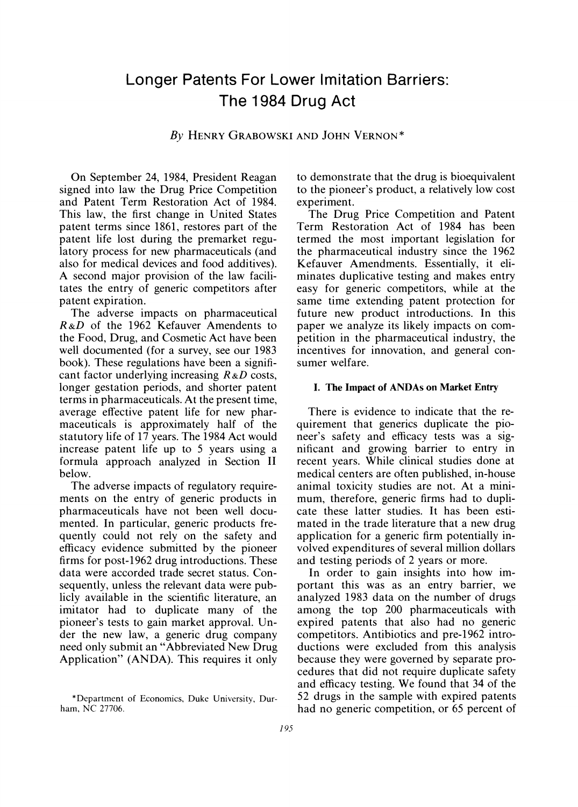# **Longer Patents For Lower Imitation Barriers: The 1984 Drug Act**

**By HENRY GRABOWSKI AND JOHN VERNON \*** 

**On September 24, 1984, President Reagan signed into law the Drug Price Competition and Patent Term Restoration Act of 1984. This law, the first change in United States patent terms since 1861, restores part of the patent life lost during the premarket regulatory process for new pharmaceuticals (and also for medical devices and food additives). A second major provision of the law facilitates the entry of generic competitors after patent expiration.** 

**The adverse impacts on pharmaceutical R&D of the 1962 Kefauver Amendents to the Food, Drug, and Cosmetic Act have been well documented (for a survey, see our 1983 book). These regulations have been a significant factor underlying increasing R &D costs, longer gestation periods, and shorter patent terms in pharmaceuticals. At the present time, average effective patent life for new pharmaceuticals is approximately half of the statutory life of 17 years. The 1984 Act would increase patent life up to 5 years using a formula approach analyzed in Section II below.** 

**The adverse impacts of regulatory requirements on the entry of generic products in pharmaceuticals have not been well documented. In particular, generic products frequently could not rely on the safety and efficacy evidence submitted by the pioneer firms for post-1962 drug introductions. These data were accorded trade secret status. Consequently, unless the relevant data were publicly available in the scientific literature, an imitator had to duplicate many of the pioneer's tests to gain market approval. Under the new law, a generic drug company need only submit an "Abbreviated New Drug Application" (ANDA). This requires it only** 

**to demonstrate that the drug is bioequivalent to the pioneer's product, a relatively low cost experiment.** 

**The Drug Price Competition and Patent Term Restoration Act of 1984 has been termed the most important legislation for the pharmaceutical industry since the 1962 Kefauver Amendments. Essentially, it eliminates duplicative testing and makes entry easy for generic competitors, while at the same time extending patent protection for future new product introductions. In this paper we analyze its likely impacts on competition in the pharmaceutical industry, the incentives for innovation, and general consumer welfare.** 

#### **I. The Impact of ANDAs on Market Entry**

**There is evidence to indicate that the requirement that generics duplicate the pioneer's safety and efficacy tests was a significant and growing barrier to entry in recent years. While clinical studies done at medical centers are often published, in-house animal toxicity studies are not. At a minimum, therefore, generic firms had to duplicate these latter studies. It has been estimated in the trade literature that a new drug application for a generic firm potentially involved expenditures of several million dollars and testing periods of 2 years or more.** 

**In order to gain insights into how important this was as an entry barrier, we analyzed 1983 data on the number of drugs among the top 200 pharmaceuticals with expired patents that also had no generic competitors. Antibiotics and pre-1962 introductions were excluded from this analysis because they were governed by separate procedures that did not require duplicate safety and efficacy testing. We found that 34 of the 52 drugs in the sample with expired patents had no generic competition, or 65 percent of** 

**<sup>\*</sup>Department of Economics, Duke University, Durham. NC 27706.**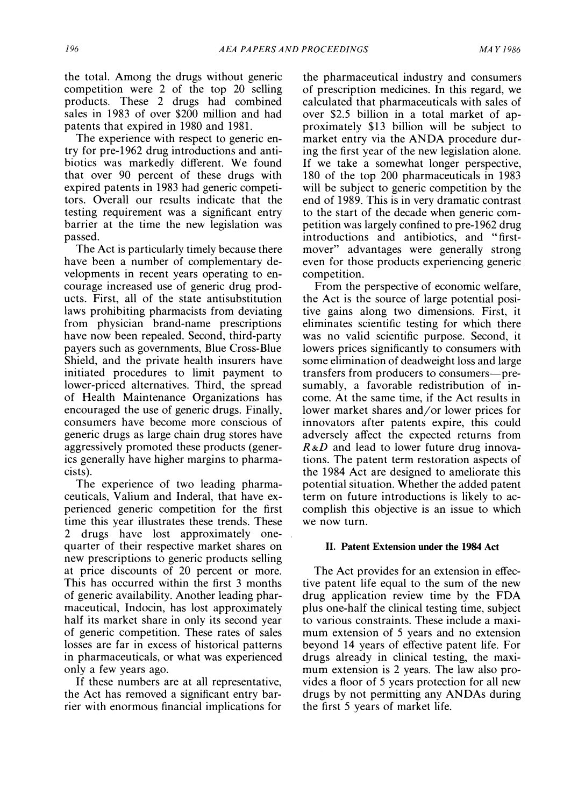**the total. Among the drugs without generic competition were 2 of the top 20 selling products. These 2 drugs had combined sales in 1983 of over \$200 million and had patents that expired in 1980 and 1981.** 

**The experience with respect to generic entry for pre-1962 drug introductions and antibiotics was markedly different. We found that over 90 percent of these drugs with expired patents in 1983 had generic competitors. Overall our results indicate that the testing requirement was a significant entry barrier at the time the new legislation was passed.** 

**The Act is particularly timely because there have been a number of complementary developments in recent years operating to encourage increased use of generic drug products. First, all of the state antisubstitution laws prohibiting pharmacists from deviating from physician brand-name prescriptions have now been repealed. Second, third-party payers such as governments, Blue Cross-Blue Shield, and the private health insurers have initiated procedures to limit payment to lower-priced alternatives. Third, the spread of Health Maintenance Organizations has encouraged the use of generic drugs. Finally, consumers have become more conscious of generic drugs as large chain drug stores have aggressively promoted these products (generics generally have higher margins to pharmacists).** 

**The experience of two leading pharmaceuticals, Valium and Inderal, that have experienced generic competition for the first time this year illustrates these trends. These 2 drugs have lost approximately onequarter of their respective market shares on new prescriptions to generic products selling at price discounts of 20 percent or more. This has occurred within the first 3 months of generic availability. Another leading pharmaceutical, Indocin, has lost approximately half its market share in only its second year of generic competition. These rates of sales losses are far in excess of historical patterns in pharmaceuticals, or what was experienced only a few years ago.** 

**If these numbers are at all representative, the Act has removed a significant entry barrier with enormous financial implications for** 

**the pharmaceutical industry and consumers of prescription medicines. In this regard, we calculated that pharmaceuticals with sales of over \$2.5 billion in a total market of approximately \$13 billion will be subject to market entry via the ANDA procedure during the first year of the new legislation alone. If we take a somewhat longer perspective, 180 of the top 200 pharmaceuticals in 1983 will be subject to generic competition by the end of 1989. This is in very dramatic contrast to the start of the decade when generic competition was largely confined to pre-1962 drug introductions and antibiotics, and " firstmover" advantages were generally strong even for those products experiencing generic competition.** 

**From the perspective of economic welfare, the Act is the source of large potential positive gains along two dimensions. First, it eliminates scientific testing for which there was no valid scientific purpose. Second, it lowers prices significantly to consumers with some elimination of deadweight loss and large transfers from producers to consumers-presumably, a favorable redistribution of income. At the same time, if the Act results in lower market shares and/or lower prices for innovators after patents expire, this could adversely affect the expected returns from R&D and lead to lower future drug innovations. The patent term restoration aspects of the 1984 Act are designed to ameliorate this potential situation. Whether the added patent term on future introductions is likely to accomplish this objective is an issue to which we now turn.** 

## **II. Patent Extension under the 1984 Act**

**The Act provides for an extension in effective patent life equal to the sum of the new drug application review time by the FDA plus one-half the clinical testing time, subject to various constraints. These include a maximum extension of 5 years and no extension beyond 14 years of effective patent life. For drugs already in clinical testing, the maximum extension is 2 years. The law also provides a floor of 5 years protection for all new drugs by not permitting any ANDAs during the first 5 years of market life.**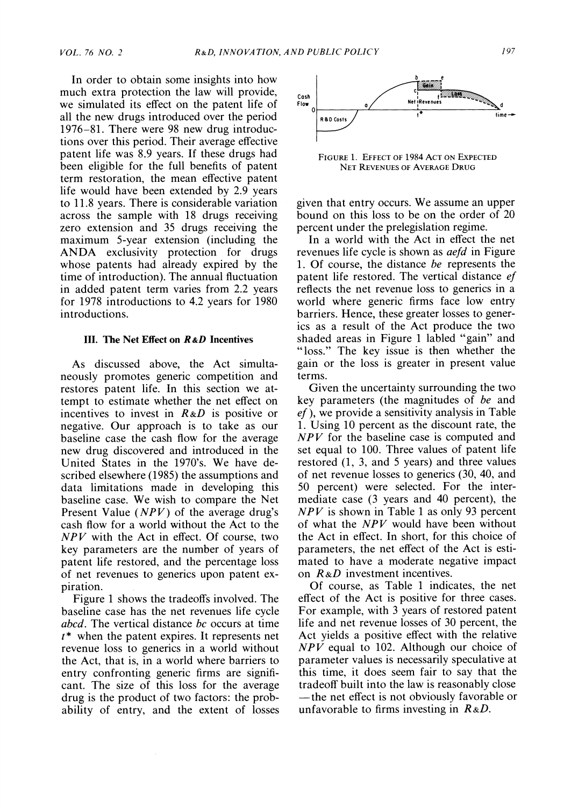**In order to obtain some insights into how much extra protection the law will provide, we simulated its effect on the patent life of all the new drugs introduced over the period 1976-81. There were 98 new drug introductions over this period. Their average effective patent life was 8.9 years. If these drugs had been eligible for the full benefits of patent term restoration, the mean effective patent life would have been extended by 2.9 years to 11.8 years. There is considerable variation across the sample with 18 drugs receiving zero extension and 35 drugs receiving the maximum 5-year extension (including the ANDA exclusivity protection for drugs whose patents had already expired by the time of introduction). The annual fluctuation in added patent term varies from 2.2 years for 1978 introductions to 4.2 years for 1980 introductions.** 

#### **III. The Net Effect on R&D Incentives**

**As discussed above, the Act simultaneously promotes generic competition and restores patent life. In this section we attempt to estimate whether the net effect on incentives to invest in R&D is positive or negative. Our approach is to take as our baseline case the cash flow for the average new drug discovered and introduced in the United States in the 1970's. We have described elsewhere (1985) the assumptions and data limitations made in developing this baseline case. We wish to compare the Net Present Value (NPV) of the average drug's cash flow for a world without the Act to the NPV with the Act in effect. Of course, two key parameters are the number of years of patent life restored, and the percentage loss of net revenues to generics upon patent expiration.** 

**Figure 1 shows the tradeoffs involved. The baseline case has the net revenues life cycle abcd. The vertical distance bc occurs at time t\* when the patent expires. It represents net revenue loss to generics in a world without the Act, that is, in a world where barriers to entry confronting generic firms are significant. The size of this loss for the average drug is the product of two factors: the probability of entry, and the extent of losses** 



**FIGURE 1. EFFECT OF 1984 ACT ON EXPECTED NET REVENUES OF AVERAGE DRUG** 

**given that entry occurs. We assume an upper bound on this loss to be on the order of 20 percent under the prelegislation regime.** 

**In a world with the Act in effect the net revenues life cycle is shown as aefd in Figure 1. Of course, the distance be represents the patent life restored. The vertical distance ef reflects the net revenue loss to generics in a world where generic firms face low entry barriers. Hence, these greater losses to generics as a result of the Act produce the two shaded areas in Figure 1 labled "gain" and "loss." The key issue is then whether the gain or the loss is greater in present value terms.** 

**Given the uncertainty surrounding the two key parameters (the magnitudes of be and ef ), we provide a sensitivity analysis in Table 1. Using 10 percent as the discount rate, the NPV for the baseline case is computed and set equal to 100. Three values of patent life restored (1, 3, and 5 years) and three values of net revenue losses to generics (30, 40, and 50 percent) were selected. For the intermediate case (3 years and 40 percent), the NPV is shown in Table 1 as only 93 percent of what the NPV would have been without the Act in effect. In short, for this choice of parameters, the net effect of the Act is estimated to have a moderate negative impact on R&D investment incentives.** 

**Of course, as Table 1 indicates, the net effect of the Act is positive for three cases. For example, with 3 years of restored patent life and net revenue losses of 30 percent, the Act yields a positive effect with the relative NPV equal to 102. Although our choice of parameter values is necessarily speculative at this time, it does seem fair to say that the tradeoff built into the law is reasonably close -the net effect is not obviously favorable or unfavorable to firms investing in R &D.**